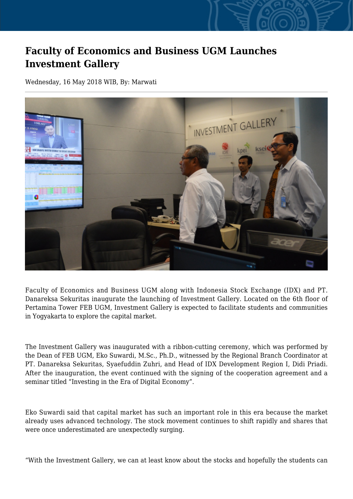## **Faculty of Economics and Business UGM Launches Investment Gallery**

Wednesday, 16 May 2018 WIB, By: Marwati



Faculty of Economics and Business UGM along with Indonesia Stock Exchange (IDX) and PT. Danareksa Sekuritas inaugurate the launching of Investment Gallery. Located on the 6th floor of Pertamina Tower FEB UGM, Investment Gallery is expected to facilitate students and communities in Yogyakarta to explore the capital market.

The Investment Gallery was inaugurated with a ribbon-cutting ceremony, which was performed by the Dean of FEB UGM, Eko Suwardi, M.Sc., Ph.D., witnessed by the Regional Branch Coordinator at PT. Danareksa Sekuritas, Syaefuddin Zuhri, and Head of IDX Development Region I, Didi Priadi. After the inauguration, the event continued with the signing of the cooperation agreement and a seminar titled "Investing in the Era of Digital Economy".

Eko Suwardi said that capital market has such an important role in this era because the market already uses advanced technology. The stock movement continues to shift rapidly and shares that were once underestimated are unexpectedly surging.

"With the Investment Gallery, we can at least know about the stocks and hopefully the students can